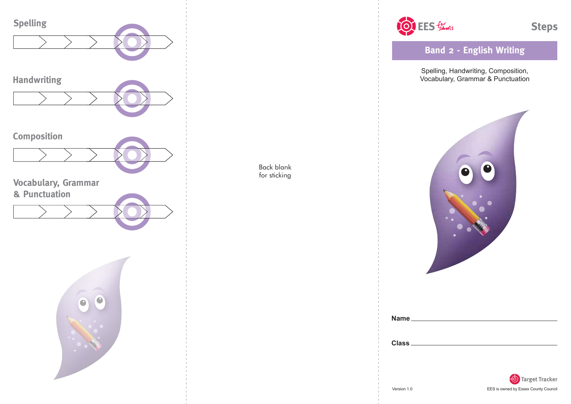

Back blank for sticking



**Band 2 - English Writing**

Spelling, Handwriting, Composition, Vocabulary, Grammar & Punctuation



| Name         |  |  |
|--------------|--|--|
|              |  |  |
|              |  |  |
| <b>Class</b> |  |  |